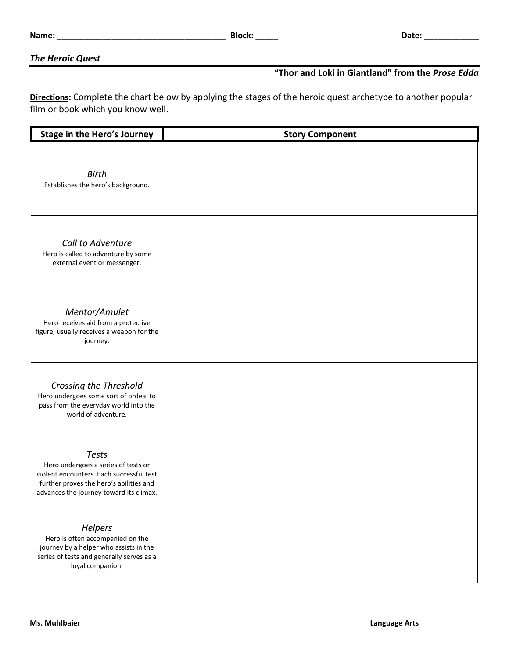## *The Heroic Quest*

## **"Thor and Loki in Giantland" from the** *Prose Edda*

**Directions:** Complete the chart below by applying the stages of the heroic quest archetype to another popular film or book which you know well.

| <b>Stage in the Hero's Journey</b>                                                                                                                                                    | <b>Story Component</b> |
|---------------------------------------------------------------------------------------------------------------------------------------------------------------------------------------|------------------------|
| <b>Birth</b><br>Establishes the hero's background.                                                                                                                                    |                        |
| Call to Adventure<br>Hero is called to adventure by some<br>external event or messenger.                                                                                              |                        |
| Mentor/Amulet<br>Hero receives aid from a protective<br>figure; usually receives a weapon for the<br>journey.                                                                         |                        |
| Crossing the Threshold<br>Hero undergoes some sort of ordeal to<br>pass from the everyday world into the<br>world of adventure.                                                       |                        |
| <b>Tests</b><br>Hero undergoes a series of tests or<br>violent encounters. Each successful test<br>further proves the hero's abilities and<br>advances the journey toward its climax. |                        |
| Helpers<br>Hero is often accompanied on the<br>journey by a helper who assists in the<br>series of tests and generally serves as a<br>loyal companion.                                |                        |